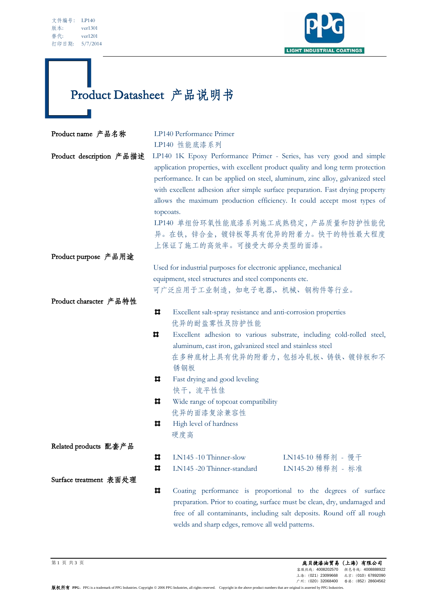| 文件编号: | LP140    |
|-------|----------|
| 版本:   | ver1301  |
| 替代:   | ver1201  |
| 打印日期: | 5/7/2014 |



## Product Datasheet 产品说明书

| Product name 产品名称        | LP140 Performance Primer                                                                                                                                                                                                                                                                                                                                                                                                                                                                                                 |                                                                          |                   |
|--------------------------|--------------------------------------------------------------------------------------------------------------------------------------------------------------------------------------------------------------------------------------------------------------------------------------------------------------------------------------------------------------------------------------------------------------------------------------------------------------------------------------------------------------------------|--------------------------------------------------------------------------|-------------------|
|                          |                                                                                                                                                                                                                                                                                                                                                                                                                                                                                                                          | LP140 性能底漆系列                                                             |                   |
| Product description 产品描述 | LP140 1K Epoxy Performance Primer - Series, has very good and simple<br>application properties, with excellent product quality and long term protection<br>performance. It can be applied on steel, aluminum, zinc alloy, galvanized steel<br>with excellent adhesion after simple surface preparation. Fast drying property<br>allows the maximum production efficiency. It could accept most types of<br>topcoats.<br>LP140 单组份环氧性能底漆系列施工成熟稳定,产品质量和防护性能优<br>异。在铁,锌合金,镀锌板等具有优异的附着力。快干的特性最大程度<br>上保证了施工的高效率。可接受大部分类型的面漆。 |                                                                          |                   |
| Product purpose 产品用途     |                                                                                                                                                                                                                                                                                                                                                                                                                                                                                                                          |                                                                          |                   |
|                          |                                                                                                                                                                                                                                                                                                                                                                                                                                                                                                                          | Used for industrial purposes for electronic appliance, mechanical        |                   |
|                          |                                                                                                                                                                                                                                                                                                                                                                                                                                                                                                                          | equipment, steel structures and steel components etc.                    |                   |
|                          | 可广泛应用于工业制造,如电子电器,机械、钢构件等行业。                                                                                                                                                                                                                                                                                                                                                                                                                                                                                              |                                                                          |                   |
| Product character 产品特性   |                                                                                                                                                                                                                                                                                                                                                                                                                                                                                                                          |                                                                          |                   |
|                          | ᄇ                                                                                                                                                                                                                                                                                                                                                                                                                                                                                                                        | Excellent salt-spray resistance and anti-corrosion properties            |                   |
|                          |                                                                                                                                                                                                                                                                                                                                                                                                                                                                                                                          | 优异的耐盐雾性及防护性能                                                             |                   |
|                          | ᄇ                                                                                                                                                                                                                                                                                                                                                                                                                                                                                                                        | Excellent adhesion to various substrate, including cold-rolled steel,    |                   |
|                          |                                                                                                                                                                                                                                                                                                                                                                                                                                                                                                                          | aluminum, cast iron, galvanized steel and stainless steel                |                   |
|                          |                                                                                                                                                                                                                                                                                                                                                                                                                                                                                                                          | 在多种底材上具有优异的附着力, 包括冷轧板、铸铁、镀锌板和不                                           |                   |
|                          |                                                                                                                                                                                                                                                                                                                                                                                                                                                                                                                          | 锈钢板                                                                      |                   |
|                          | ᄇ                                                                                                                                                                                                                                                                                                                                                                                                                                                                                                                        | Fast drying and good leveling                                            |                   |
|                          |                                                                                                                                                                                                                                                                                                                                                                                                                                                                                                                          | 快干,流平性佳                                                                  |                   |
|                          | ᄇ                                                                                                                                                                                                                                                                                                                                                                                                                                                                                                                        | Wide range of topcoat compatibility                                      |                   |
|                          |                                                                                                                                                                                                                                                                                                                                                                                                                                                                                                                          | 优异的面漆复涂兼容性                                                               |                   |
|                          | ᄇ                                                                                                                                                                                                                                                                                                                                                                                                                                                                                                                        | High level of hardness                                                   |                   |
|                          |                                                                                                                                                                                                                                                                                                                                                                                                                                                                                                                          | 硬度高                                                                      |                   |
| Related products 配套产品    |                                                                                                                                                                                                                                                                                                                                                                                                                                                                                                                          |                                                                          |                   |
|                          | ᄇ                                                                                                                                                                                                                                                                                                                                                                                                                                                                                                                        | LN145-10 Thinner-slow                                                    | LN145-10 稀释剂 - 慢干 |
|                          | Ħ                                                                                                                                                                                                                                                                                                                                                                                                                                                                                                                        | LN145 -20 Thinner-standard                                               | LN145-20 稀释剂 - 标准 |
| Surface treatment 表面处理   |                                                                                                                                                                                                                                                                                                                                                                                                                                                                                                                          |                                                                          |                   |
|                          | ᄇ                                                                                                                                                                                                                                                                                                                                                                                                                                                                                                                        | Coating performance is proportional to the degrees of surface            |                   |
|                          |                                                                                                                                                                                                                                                                                                                                                                                                                                                                                                                          | preparation. Prior to coating, surface must be clean, dry, undamaged and |                   |
|                          |                                                                                                                                                                                                                                                                                                                                                                                                                                                                                                                          | free of all contaminants, including salt deposits. Round off all rough   |                   |
|                          |                                                                                                                                                                                                                                                                                                                                                                                                                                                                                                                          | welds and sharp edges, remove all weld patterns.                         |                   |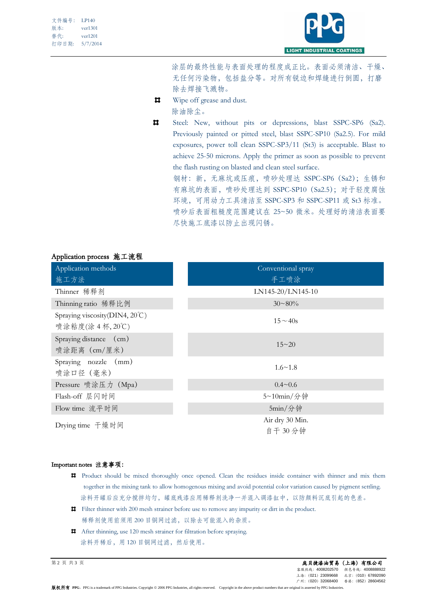| 文件编号: | LP140    |
|-------|----------|
| 版本:   | ver1301  |
| 替代:   | ver1201  |
| 打印日期: | 5/7/2014 |



 涂层的最终性能与表面处理的程度成正比。表面必须清洁、干燥、 无任何污染物,包括盐分等。对所有锐边和焊缝进行倒圆,打磨 除去焊接飞溅物。

- Wipe off grease and dust.  $\blacksquare$ 
	- 除油除尘。
- Ħ. Steel: New, without pits or depressions, blast SSPC-SP6 (Sa2). Previously painted or pitted steel, blast SSPC-SP10 (Sa2.5). For mild exposures, power toll clean SSPC-SP3/11 (St3) is acceptable. Blast to achieve 25-50 microns. Apply the primer as soon as possible to prevent the flash rusting on blasted and clean steel surface.

钢材:新,无麻坑或压痕,喷砂处理达 SSPC-SP6(Sa2);生锈和 有麻坑的表面,喷砂处理达到 SSPC-SP10(Sa2.5);对于轻度腐蚀 环境,可用动力工具清洁至 SSPC-SP3 和 SSPC-SP11 或 St3 标准。 喷砂后表面粗糙度范围建议在 25~50 微米。处理好的清洁表面要 尽快施工底漆以防止出现闪锈。

## Application process 施工流程

| Application methods                                | Conventional spray         |
|----------------------------------------------------|----------------------------|
| 施工方法                                               | 手工喷涂                       |
| Thinner 稀释剂                                        | LN145-20/LN145-10          |
| Thinning ratio 稀释比例                                | $30 \sim 80\%$             |
| Spraying viscosity(DIN4, 20°C)<br>喷涂粘度(涂 4 杯, 20℃) | $15 - 40s$                 |
| Spraying distance (cm)<br>喷涂距离 (cm/厘米)             | $15 - 20$                  |
| Spraying nozzle (mm)<br>喷涂口径 (毫米)                  | $1.6 \sim 1.8$             |
| Pressure 喷涂压力 (Mpa)                                | $0.4 \sim 0.6$             |
| Flash-off 层闪时间                                     | 5~10min/分钟                 |
| Flow time 流平时间                                     | $5min/\hat{}$ 钟            |
| Drying time 干燥时间                                   | Air dry 30 Min.<br>自干 30分钟 |

## Important notes 注意事项:

- Product should be mixed thoroughly once opened. Clean the residues inside container with thinner and mix them together in the mixing tank to allow homogenous mixing and avoid potential color variation caused by pigment settling. 涂料开罐后应充分搅拌均匀,罐底残漆应用稀释剂洗净一并混入调漆缸中,以防颜料沉底引起的色差。
- $\sharp$  Filter thinner with 200 mesh strainer before use to remove any impurity or dirt in the product. 稀释剂使用前须用 200 目铜网过滤,以除去可能混入的杂质。
- After thinning, use 120 mesh strainer for filtration before spraying. 涂料开稀后,用120目铜网过滤,然后使用。